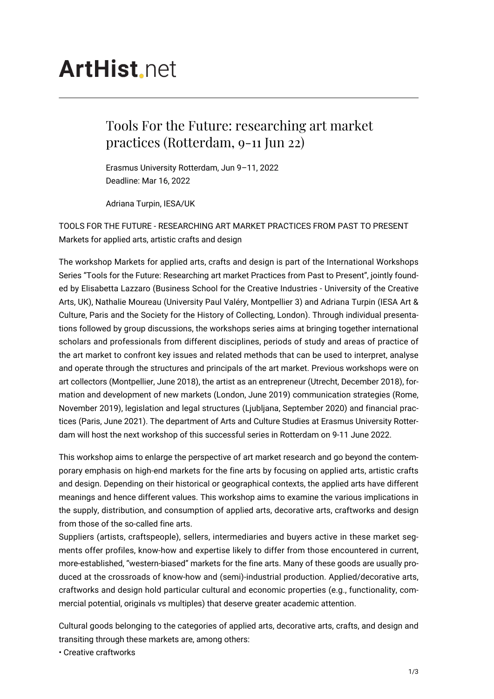# **ArtHist**, net

## Tools For the Future: researching art market practices (Rotterdam, 9-11 Jun 22)

Erasmus University Rotterdam, Jun 9–11, 2022 Deadline: Mar 16, 2022

Adriana Turpin, IESA/UK

TOOLS FOR THE FUTURE - RESEARCHING ART MARKET PRACTICES FROM PAST TO PRESENT Markets for applied arts, artistic crafts and design

The workshop Markets for applied arts, crafts and design is part of the International Workshops Series "Tools for the Future: Researching art market Practices from Past to Present", jointly founded by Elisabetta Lazzaro (Business School for the Creative Industries - University of the Creative Arts, UK), Nathalie Moureau (University Paul Valéry, Montpellier 3) and Adriana Turpin (IESA Art & Culture, Paris and the Society for the History of Collecting, London). Through individual presentations followed by group discussions, the workshops series aims at bringing together international scholars and professionals from different disciplines, periods of study and areas of practice of the art market to confront key issues and related methods that can be used to interpret, analyse and operate through the structures and principals of the art market. Previous workshops were on art collectors (Montpellier, June 2018), the artist as an entrepreneur (Utrecht, December 2018), formation and development of new markets (London, June 2019) communication strategies (Rome, November 2019), legislation and legal structures (Ljubljana, September 2020) and financial practices (Paris, June 2021). The department of Arts and Culture Studies at Erasmus University Rotterdam will host the next workshop of this successful series in Rotterdam on 9-11 June 2022.

This workshop aims to enlarge the perspective of art market research and go beyond the contemporary emphasis on high-end markets for the fine arts by focusing on applied arts, artistic crafts and design. Depending on their historical or geographical contexts, the applied arts have different meanings and hence different values. This workshop aims to examine the various implications in the supply, distribution, and consumption of applied arts, decorative arts, craftworks and design from those of the so-called fine arts.

Suppliers (artists, craftspeople), sellers, intermediaries and buyers active in these market segments offer profiles, know-how and expertise likely to differ from those encountered in current, more-established, "western-biased" markets for the fine arts. Many of these goods are usually produced at the crossroads of know-how and (semi)-industrial production. Applied/decorative arts, craftworks and design hold particular cultural and economic properties (e.g., functionality, commercial potential, originals vs multiples) that deserve greater academic attention.

Cultural goods belonging to the categories of applied arts, decorative arts, crafts, and design and transiting through these markets are, among others:

• Creative craftworks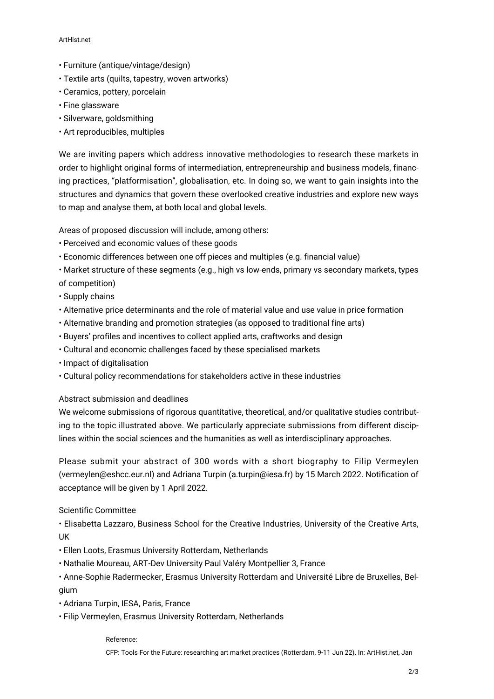#### ArtHist.net

- Furniture (antique/vintage/design)
- Textile arts (quilts, tapestry, woven artworks)
- Ceramics, pottery, porcelain
- Fine glassware
- Silverware, goldsmithing
- Art reproducibles, multiples

We are inviting papers which address innovative methodologies to research these markets in order to highlight original forms of intermediation, entrepreneurship and business models, financing practices, "platformisation", globalisation, etc. In doing so, we want to gain insights into the structures and dynamics that govern these overlooked creative industries and explore new ways to map and analyse them, at both local and global levels.

Areas of proposed discussion will include, among others:

- Perceived and economic values of these goods
- Economic differences between one off pieces and multiples (e.g. financial value)
- Market structure of these segments (e.g., high vs low-ends, primary vs secondary markets, types of competition)
- Supply chains
- Alternative price determinants and the role of material value and use value in price formation
- Alternative branding and promotion strategies (as opposed to traditional fine arts)
- Buyers' profiles and incentives to collect applied arts, craftworks and design
- Cultural and economic challenges faced by these specialised markets
- Impact of digitalisation
- Cultural policy recommendations for stakeholders active in these industries

#### Abstract submission and deadlines

We welcome submissions of rigorous quantitative, theoretical, and/or qualitative studies contributing to the topic illustrated above. We particularly appreciate submissions from different disciplines within the social sciences and the humanities as well as interdisciplinary approaches.

Please submit your abstract of 300 words with a short biography to Filip Vermeylen (vermeylen@eshcc.eur.nl) and Adriana Turpin (a.turpin@iesa.fr) by 15 March 2022. Notification of acceptance will be given by 1 April 2022.

### Scientific Committee

• Elisabetta Lazzaro, Business School for the Creative Industries, University of the Creative Arts, UK

- Ellen Loots, Erasmus University Rotterdam, Netherlands
- Nathalie Moureau, ART-Dev University Paul Valéry Montpellier 3, France
- Anne-Sophie Radermecker, Erasmus University Rotterdam and Université Libre de Bruxelles, Belgium
- Adriana Turpin, IESA, Paris, France
- Filip Vermeylen, Erasmus University Rotterdam, Netherlands

#### Reference:

CFP: Tools For the Future: researching art market practices (Rotterdam, 9-11 Jun 22). In: ArtHist.net, Jan